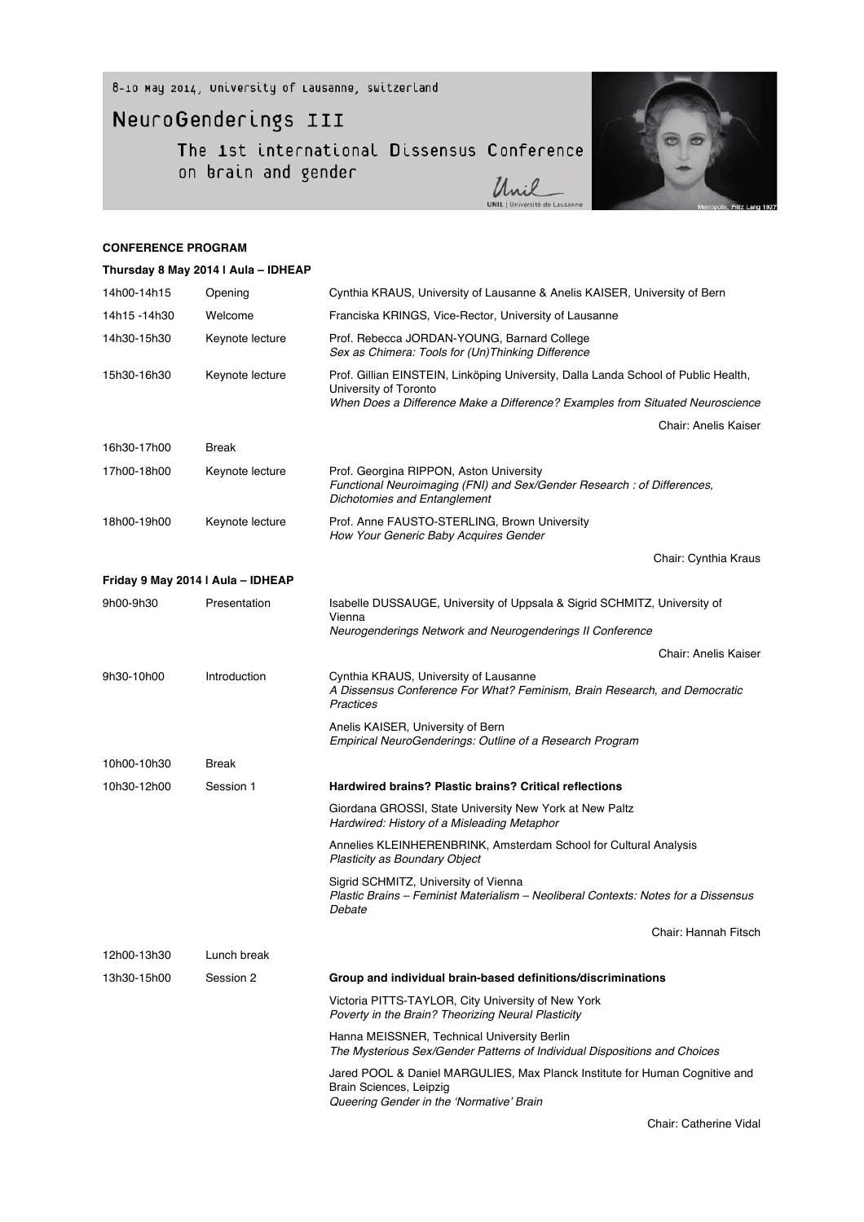8-10 May 2014, University of Lausanne, switzerland

## NeuroGenderings III

The 1st international Dissensus Conference<br>on brain and gender<br> $\frac{1}{4}$ 



Unil

## **CONFERENCE PROGRAM**

|              | Thursday 8 May 2014   Aula - IDHEAP |                                                                                                                                                    |
|--------------|-------------------------------------|----------------------------------------------------------------------------------------------------------------------------------------------------|
| 14h00-14h15  | Opening                             | Cynthia KRAUS, University of Lausanne & Anelis KAISER, University of Bern                                                                          |
| 14h15 -14h30 | Welcome                             | Franciska KRINGS, Vice-Rector, University of Lausanne                                                                                              |
| 14h30-15h30  | Keynote lecture                     | Prof. Rebecca JORDAN-YOUNG, Barnard College<br>Sex as Chimera: Tools for (Un) Thinking Difference                                                  |
| 15h30-16h30  | Keynote lecture                     | Prof. Gillian EINSTEIN, Linköping University, Dalla Landa School of Public Health,<br>University of Toronto                                        |
|              |                                     | When Does a Difference Make a Difference? Examples from Situated Neuroscience                                                                      |
|              |                                     | <b>Chair: Anelis Kaiser</b>                                                                                                                        |
| 16h30-17h00  | <b>Break</b>                        |                                                                                                                                                    |
| 17h00-18h00  | Keynote lecture                     | Prof. Georgina RIPPON, Aston University<br>Functional Neuroimaging (FNI) and Sex/Gender Research : of Differences,<br>Dichotomies and Entanglement |
| 18h00-19h00  | Keynote lecture                     | Prof. Anne FAUSTO-STERLING, Brown University<br>How Your Generic Baby Acquires Gender                                                              |
|              |                                     | Chair: Cynthia Kraus                                                                                                                               |
|              | Friday 9 May 2014   Aula - IDHEAP   |                                                                                                                                                    |
| 9h00-9h30    | Presentation                        | Isabelle DUSSAUGE, University of Uppsala & Sigrid SCHMITZ, University of<br>Vienna                                                                 |
|              |                                     | Neurogenderings Network and Neurogenderings II Conference                                                                                          |
|              |                                     | Chair: Anelis Kaiser                                                                                                                               |
| 9h30-10h00   | Introduction                        | Cynthia KRAUS, University of Lausanne<br>A Dissensus Conference For What? Feminism, Brain Research, and Democratic<br>Practices                    |
|              |                                     | Anelis KAISER, University of Bern<br>Empirical NeuroGenderings: Outline of a Research Program                                                      |
| 10h00-10h30  | <b>Break</b>                        |                                                                                                                                                    |
| 10h30-12h00  | Session 1                           | Hardwired brains? Plastic brains? Critical reflections                                                                                             |
|              |                                     | Giordana GROSSI, State University New York at New Paltz<br>Hardwired: History of a Misleading Metaphor                                             |
|              |                                     | Annelies KLEINHERENBRINK, Amsterdam School for Cultural Analysis<br><b>Plasticity as Boundary Object</b>                                           |
|              |                                     | Sigrid SCHMITZ, University of Vienna<br>Plastic Brains – Feminist Materialism – Neoliberal Contexts: Notes for a Dissensus<br>Debate               |
|              |                                     | Chair: Hannah Fitsch                                                                                                                               |
| 12h00-13h30  | Lunch break                         |                                                                                                                                                    |
| 13h30-15h00  | Session 2                           | Group and individual brain-based definitions/discriminations                                                                                       |
|              |                                     | Victoria PITTS-TAYLOR, City University of New York<br>Poverty in the Brain? Theorizing Neural Plasticity                                           |
|              |                                     | Hanna MEISSNER, Technical University Berlin<br>The Mysterious Sex/Gender Patterns of Individual Dispositions and Choices                           |
|              |                                     | Jared POOL & Daniel MARGULIES, Max Planck Institute for Human Cognitive and<br>Brain Sciences, Leipzig<br>Queering Gender in the 'Normative' Brain |
|              |                                     |                                                                                                                                                    |

Chair: Catherine Vidal